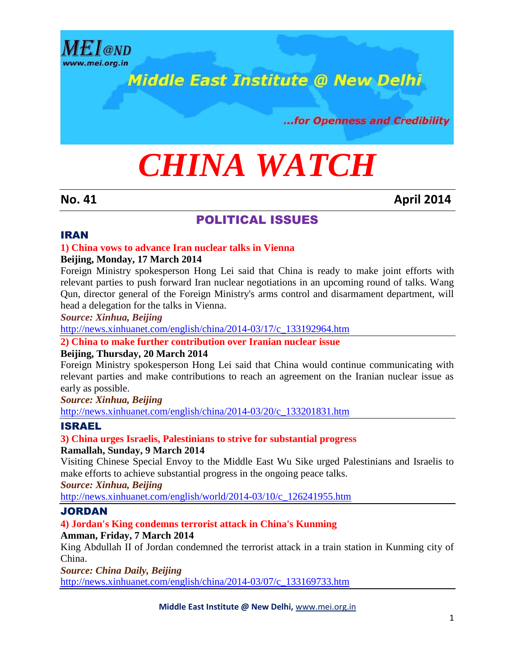

## **Middle East Institute @ New Delhi**

...for Openness and Credibility

# *CHINA WATCH*

#### **No. 41 April 2014**

#### POLITICAL ISSUES

#### IRAN

#### **1) China vows to advance Iran nuclear talks in Vienna**

#### **Beijing, Monday, 17 March 2014**

Foreign Ministry spokesperson Hong Lei said that China is ready to make joint efforts with relevant parties to push forward Iran nuclear negotiations in an upcoming round of talks. Wang Qun, director general of the Foreign Ministry's arms control and disarmament department, will head a delegation for the talks in Vienna.

*Source: Xinhua, Beijing*

[http://news.xinhuanet.com/english/china/2014-03/17/c\\_133192964.htm](http://news.xinhuanet.com/english/china/2014-03/17/c_133192964.htm)

#### **2) China to make further contribution over Iranian nuclear issue**

#### **Beijing, Thursday, 20 March 2014**

Foreign Ministry spokesperson Hong Lei said that China would continue communicating with relevant parties and make contributions to reach an agreement on the Iranian nuclear issue as early as possible.

*Source: Xinhua, Beijing*

[http://news.xinhuanet.com/english/china/2014-03/20/c\\_133201831.htm](http://news.xinhuanet.com/english/china/2014-03/20/c_133201831.htm)

#### ISRAEL

**3) China urges Israelis, Palestinians to strive for substantial progress Ramallah, Sunday, 9 March 2014**

Visiting Chinese Special Envoy to the Middle East Wu Sike urged Palestinians and Israelis to make efforts to achieve substantial progress in the ongoing peace talks.

*Source: Xinhua, Beijing*

[http://news.xinhuanet.com/english/world/2014-03/10/c\\_126241955.htm](http://news.xinhuanet.com/english/world/2014-03/10/c_126241955.htm)

#### JORDAN

#### **4) Jordan's King condemns terrorist attack in China's Kunming**

#### **Amman, Friday, 7 March 2014**

King Abdullah II of Jordan condemned the terrorist attack in a train station in Kunming city of China.

*Source: China Daily, Beijing* [http://news.xinhuanet.com/english/china/2014-03/07/c\\_133169733.htm](http://news.xinhuanet.com/english/china/2014-03/07/c_133169733.htm)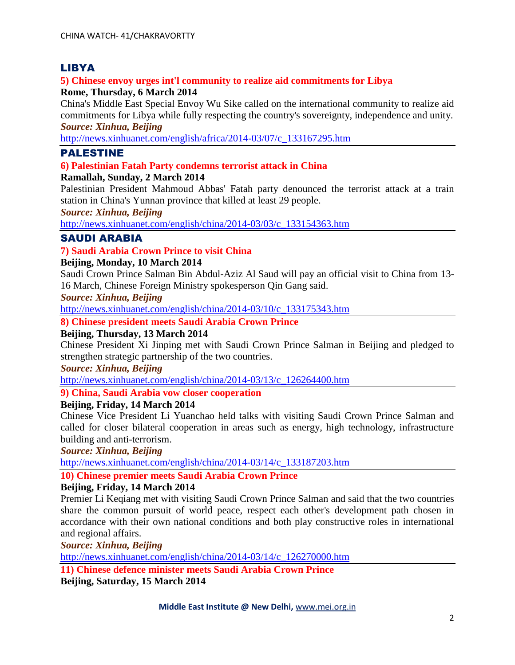#### LIBYA

#### **5) Chinese envoy urges int'l community to realize aid commitments for Libya Rome, Thursday, 6 March 2014**

China's Middle East Special Envoy Wu Sike called on the international community to realize aid commitments for Libya while fully respecting the country's sovereignty, independence and unity. *Source: Xinhua, Beijing*

[http://news.xinhuanet.com/english/africa/2014-03/07/c\\_133167295.htm](http://news.xinhuanet.com/english/africa/2014-03/07/c_133167295.htm)

#### PALESTINE

#### **6) Palestinian Fatah Party condemns terrorist attack in China**

#### **Ramallah, Sunday, 2 March 2014**

Palestinian President Mahmoud Abbas' Fatah party denounced the terrorist attack at a train station in China's Yunnan province that killed at least 29 people.

*Source: Xinhua, Beijing*

[http://news.xinhuanet.com/english/china/2014-03/03/c\\_133154363.htm](http://news.xinhuanet.com/english/china/2014-03/03/c_133154363.htm)

#### SAUDI ARABIA

#### **7) Saudi Arabia Crown Prince to visit China**

#### **Beijing, Monday, 10 March 2014**

Saudi Crown Prince Salman Bin Abdul-Aziz Al Saud will pay an official visit to China from 13- 16 March, Chinese Foreign Ministry spokesperson Qin Gang said.

*Source: Xinhua, Beijing*

[http://news.xinhuanet.com/english/china/2014-03/10/c\\_133175343.htm](http://news.xinhuanet.com/english/china/2014-03/10/c_133175343.htm)

**8) Chinese president meets Saudi Arabia Crown Prince**

#### **Beijing, Thursday, 13 March 2014**

Chinese President Xi Jinping met with Saudi Crown Prince Salman in Beijing and pledged to strengthen strategic partnership of the two countries.

#### *Source: Xinhua, Beijing*

[http://news.xinhuanet.com/english/china/2014-03/13/c\\_126264400.htm](http://news.xinhuanet.com/english/china/2014-03/13/c_126264400.htm)

#### **9) China, Saudi Arabia vow closer cooperation**

#### **Beijing, Friday, 14 March 2014**

Chinese Vice President Li Yuanchao held talks with visiting Saudi Crown Prince Salman and called for closer bilateral cooperation in areas such as energy, high technology, infrastructure building and anti-terrorism.

*Source: Xinhua, Beijing*

[http://news.xinhuanet.com/english/china/2014-03/14/c\\_133187203.htm](http://news.xinhuanet.com/english/china/2014-03/14/c_133187203.htm)

#### **10) Chinese premier meets Saudi Arabia Crown Prince**

#### **Beijing, Friday, 14 March 2014**

Premier Li Keqiang met with visiting Saudi Crown Prince Salman and said that the two countries share the common pursuit of world peace, respect each other's development path chosen in accordance with their own national conditions and both play constructive roles in international and regional affairs.

*Source: Xinhua, Beijing*

[http://news.xinhuanet.com/english/china/2014-03/14/c\\_126270000.htm](http://news.xinhuanet.com/english/china/2014-03/14/c_126270000.htm)

**11) Chinese defence minister meets Saudi Arabia Crown Prince Beijing, Saturday, 15 March 2014**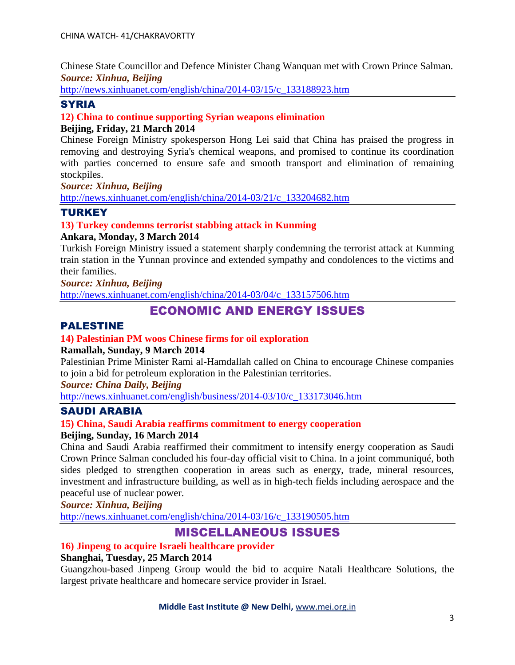Chinese State Councillor and Defence Minister Chang Wanquan met with Crown Prince Salman. *Source: Xinhua, Beijing*

[http://news.xinhuanet.com/english/china/2014-03/15/c\\_133188923.htm](http://news.xinhuanet.com/english/china/2014-03/15/c_133188923.htm)

#### **SYRIA**

#### **12) China to continue supporting Syrian weapons elimination**

#### **Beijing, Friday, 21 March 2014**

Chinese Foreign Ministry spokesperson Hong Lei said that China has praised the progress in removing and destroying Syria's chemical weapons, and promised to continue its coordination with parties concerned to ensure safe and smooth transport and elimination of remaining stockpiles.

#### *Source: Xinhua, Beijing*

[http://news.xinhuanet.com/english/china/2014-03/21/c\\_133204682.htm](http://news.xinhuanet.com/english/china/2014-03/21/c_133204682.htm)

#### **TURKEY**

#### **13) Turkey condemns terrorist stabbing attack in Kunming**

#### **Ankara, Monday, 3 March 2014**

Turkish Foreign Ministry issued a statement sharply condemning the terrorist attack at Kunming train station in the Yunnan province and extended sympathy and condolences to the victims and their families.

*Source: Xinhua, Beijing*

[http://news.xinhuanet.com/english/china/2014-03/04/c\\_133157506.htm](http://news.xinhuanet.com/english/china/2014-03/04/c_133157506.htm)

### ECONOMIC AND ENERGY ISSUES

#### PALESTINE

#### **14) Palestinian PM woos Chinese firms for oil exploration**

#### **Ramallah, Sunday, 9 March 2014**

Palestinian Prime Minister Rami al-Hamdallah called on China to encourage Chinese companies to join a bid for petroleum exploration in the Palestinian territories.

*Source: China Daily, Beijing*

[http://news.xinhuanet.com/english/business/2014-03/10/c\\_133173046.htm](http://news.xinhuanet.com/english/business/2014-03/10/c_133173046.htm)

#### SAUDI ARABIA

#### **15) China, Saudi Arabia reaffirms commitment to energy cooperation**

#### **Beijing, Sunday, 16 March 2014**

China and Saudi Arabia reaffirmed their commitment to intensify energy cooperation as Saudi Crown Prince Salman concluded his four-day official visit to China. In a joint communiqué, both sides pledged to strengthen cooperation in areas such as energy, trade, mineral resources, investment and infrastructure building, as well as in high-tech fields including aerospace and the peaceful use of nuclear power.

*Source: Xinhua, Beijing*

[http://news.xinhuanet.com/english/china/2014-03/16/c\\_133190505.htm](http://news.xinhuanet.com/english/china/2014-03/16/c_133190505.htm)

#### MISCELLANEOUS ISSUES

#### **16) Jinpeng to acquire Israeli healthcare provider**

#### **Shanghai, Tuesday, 25 March 2014**

Guangzhou-based Jinpeng Group would the bid to acquire Natali Healthcare Solutions, the largest private healthcare and homecare service provider in Israel.

#### **Middle East Institute @ New Delhi,** www.mei.org.in